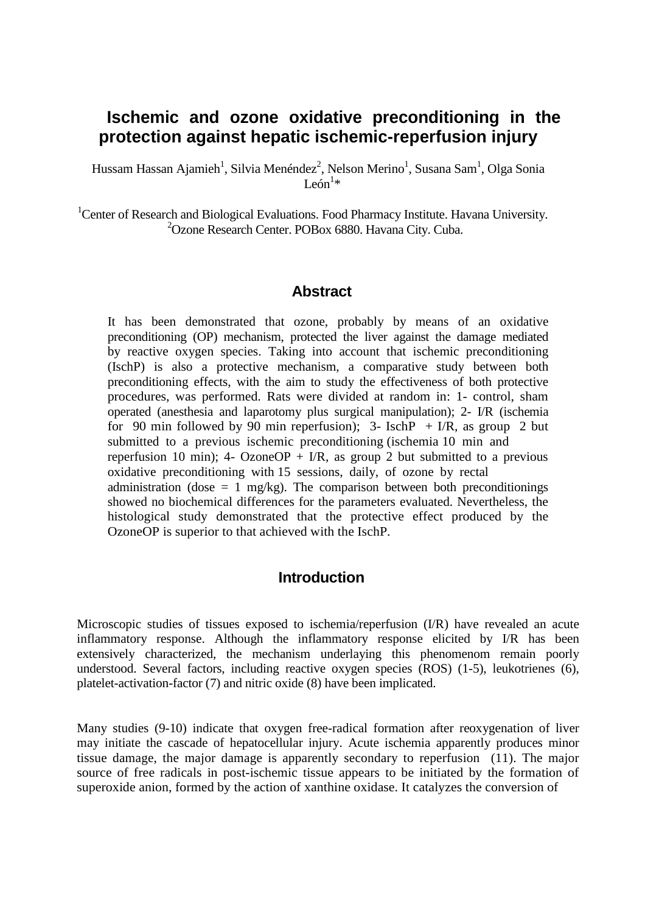# **Ischemic and ozone oxidative preconditioning in the protection against hepatic ischemic-reperfusion injury**

Hussam Hassan Ajamieh $^1$ , Silvia Menéndez $^2$ , Nelson Merino $^1$ , Susana Sam $^1$ , Olga Sonia León<sup>1\*</sup>

<sup>1</sup>Center of Research and Biological Evaluations. Food Pharmacy Institute. Havana University. 2 Ozone Research Center. POBox 6880. Havana City. Cuba.

#### **Abstract**

It has been demonstrated that ozone, probably by means of an oxidative preconditioning (OP) mechanism, protected the liver against the damage mediated by reactive oxygen species. Taking into account that ischemic preconditioning (IschP) is also a protective mechanism, a comparative study between both preconditioning effects, with the aim to study the effectiveness of both protective procedures, was performed. Rats were divided at random in: 1- control, sham operated (anesthesia and laparotomy plus surgical manipulation); 2- I/R (ischemia for 90 min followed by 90 min reperfusion); 3- Isch $P + I/R$ , as group 2 but submitted to a previous ischemic preconditioning (ischemia 10 min and reperfusion 10 min); 4- OzoneOP + I/R, as group 2 but submitted to a previous oxidative preconditioning with 15 sessions, daily, of ozone by rectal administration (dose  $= 1$  mg/kg). The comparison between both preconditionings showed no biochemical differences for the parameters evaluated. Nevertheless, the histological study demonstrated that the protective effect produced by the OzoneOP is superior to that achieved with the IschP.

#### **Introduction**

Microscopic studies of tissues exposed to ischemia/reperfusion (I/R) have revealed an acute inflammatory response. Although the inflammatory response elicited by I/R has been extensively characterized, the mechanism underlaying this phenomenom remain poorly understood. Several factors, including reactive oxygen species (ROS) (1-5), leukotrienes (6), platelet-activation-factor (7) and nitric oxide (8) have been implicated.

Many studies (9-10) indicate that oxygen free-radical formation after reoxygenation of liver may initiate the cascade of hepatocellular injury. Acute ischemia apparently produces minor tissue damage, the major damage is apparently secondary to reperfusion (11). The major source of free radicals in post-ischemic tissue appears to be initiated by the formation of superoxide anion, formed by the action of xanthine oxidase. It catalyzes the conversion of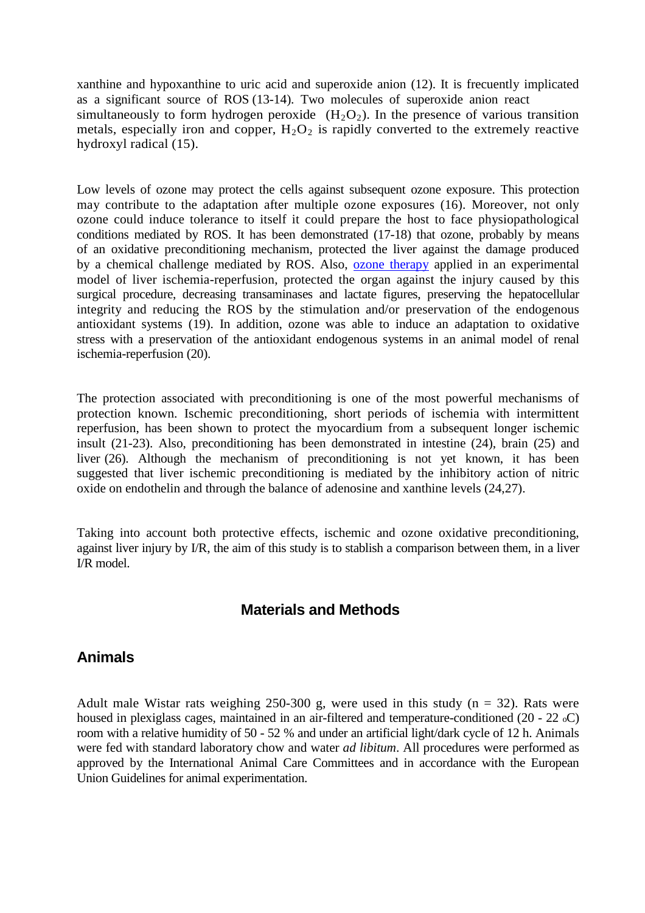xanthine and hypoxanthine to uric acid and superoxide anion (12). It is frecuently implicated as a significant source of ROS (13-14). Two molecules of superoxide anion react simultaneously to form hydrogen peroxide  $(H_2O_2)$ . In the presence of various transition metals, especially iron and copper,  $H_2O_2$  is rapidly converted to the extremely reactive hydroxyl radical (15).

Low levels of ozone may protect the cells against subsequent ozone exposure. This protection may contribute to the adaptation after multiple ozone exposures (16). Moreover, not only ozone could induce tolerance to itself it could prepare the host to face physiopathological conditions mediated by ROS. It has been demonstrated (17-18) that ozone, probably by means of an oxidative preconditioning mechanism, protected the liver against the damage produced by a chemical challenge mediated by ROS. Also, [ozone therapy](http://www.austinozone.com/) applied in an experimental model of liver ischemia-reperfusion, protected the organ against the injury caused by this surgical procedure, decreasing transaminases and lactate figures, preserving the hepatocellular integrity and reducing the ROS by the stimulation and/or preservation of the endogenous antioxidant systems (19). In addition, ozone was able to induce an adaptation to oxidative stress with a preservation of the antioxidant endogenous systems in an animal model of renal ischemia-reperfusion (20).

The protection associated with preconditioning is one of the most powerful mechanisms of protection known. Ischemic preconditioning, short periods of ischemia with intermittent reperfusion, has been shown to protect the myocardium from a subsequent longer ischemic insult (21-23). Also, preconditioning has been demonstrated in intestine (24), brain (25) and liver (26). Although the mechanism of preconditioning is not yet known, it has been suggested that liver ischemic preconditioning is mediated by the inhibitory action of nitric oxide on endothelin and through the balance of adenosine and xanthine levels (24,27).

Taking into account both protective effects, ischemic and ozone oxidative preconditioning, against liver injury by I/R, the aim of this study is to stablish a comparison between them, in a liver I/R model.

### **Materials and Methods**

### **Animals**

Adult male Wistar rats weighing 250-300 g, were used in this study  $(n = 32)$ . Rats were housed in plexiglass cages, maintained in an air-filtered and temperature-conditioned (20 - 22 oC) room with a relative humidity of 50 - 52 % and under an artificial light/dark cycle of 12 h. Animals were fed with standard laboratory chow and water *ad libitum*. All procedures were performed as approved by the International Animal Care Committees and in accordance with the European Union Guidelines for animal experimentation.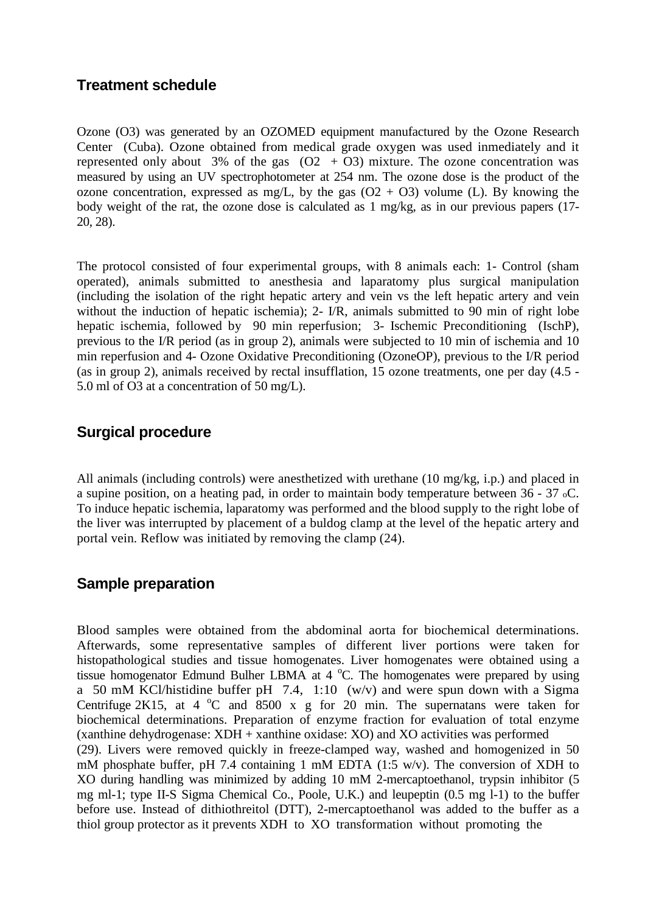### **Treatment schedule**

Ozone (O3) was generated by an OZOMED equipment manufactured by the Ozone Research Center (Cuba). Ozone obtained from medical grade oxygen was used inmediately and it represented only about 3% of the gas  $(O2 + O3)$  mixture. The ozone concentration was measured by using an UV spectrophotometer at 254 nm. The ozone dose is the product of the ozone concentration, expressed as mg/L, by the gas  $(O2 + O3)$  volume (L). By knowing the body weight of the rat, the ozone dose is calculated as 1 mg/kg, as in our previous papers (17- 20, 28).

The protocol consisted of four experimental groups, with 8 animals each: 1- Control (sham operated), animals submitted to anesthesia and laparatomy plus surgical manipulation (including the isolation of the right hepatic artery and vein vs the left hepatic artery and vein without the induction of hepatic ischemia); 2- I/R, animals submitted to 90 min of right lobe hepatic ischemia, followed by 90 min reperfusion; 3- Ischemic Preconditioning (IschP), previous to the I/R period (as in group 2), animals were subjected to 10 min of ischemia and 10 min reperfusion and 4- Ozone Oxidative Preconditioning (OzoneOP), previous to the I/R period (as in group 2), animals received by rectal insufflation, 15 ozone treatments, one per day (4.5 - 5.0 ml of O3 at a concentration of 50 mg/L).

### **Surgical procedure**

All animals (including controls) were anesthetized with urethane (10 mg/kg, i.p.) and placed in a supine position, on a heating pad, in order to maintain body temperature between 36 - 37 oC. To induce hepatic ischemia, laparatomy was performed and the blood supply to the right lobe of the liver was interrupted by placement of a buldog clamp at the level of the hepatic artery and portal vein. Reflow was initiated by removing the clamp (24).

### **Sample preparation**

Blood samples were obtained from the abdominal aorta for biochemical determinations. Afterwards, some representative samples of different liver portions were taken for histopathological studies and tissue homogenates. Liver homogenates were obtained using a tissue homogenator Edmund Bulher LBMA at 4 °C. The homogenates were prepared by using a 50 mM KCl/histidine buffer pH 7.4, 1:10 (w/v) and were spun down with a Sigma Centrifuge 2K15, at 4  $^{\circ}$ C and 8500 x g for 20 min. The supernatans were taken for biochemical determinations. Preparation of enzyme fraction for evaluation of total enzyme (xanthine dehydrogenase: XDH + xanthine oxidase: XO) and XO activities was performed (29). Livers were removed quickly in freeze-clamped way, washed and homogenized in 50 mM phosphate buffer, pH 7.4 containing 1 mM EDTA (1:5 w/v). The conversion of XDH to XO during handling was minimized by adding 10 mM 2-mercaptoethanol, trypsin inhibitor (5 mg ml-1; type II-S Sigma Chemical Co., Poole, U.K.) and leupeptin (0.5 mg l-1) to the buffer before use. Instead of dithiothreitol (DTT), 2-mercaptoethanol was added to the buffer as a thiol group protector as it prevents XDH to XO transformation without promoting the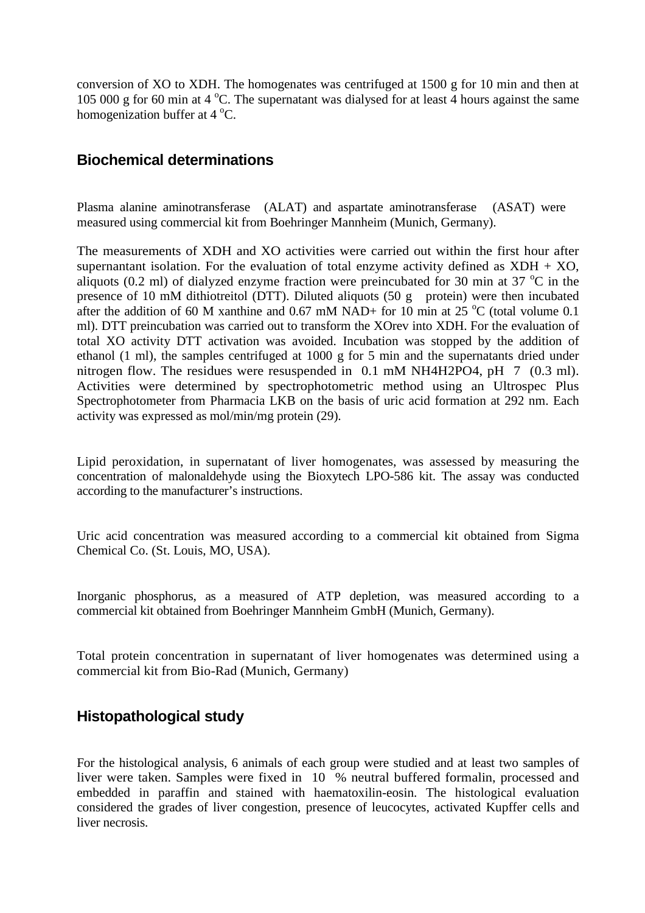conversion of XO to XDH. The homogenates was centrifuged at 1500 g for 10 min and then at 105 000 g for 60 min at 4  $^{\circ}$ C. The supernatant was dialysed for at least 4 hours against the same homogenization buffer at  $4^{\circ}$ C.

### **Biochemical determinations**

Plasma alanine aminotransferase (ALAT) and aspartate aminotransferase (ASAT) were measured using commercial kit from Boehringer Mannheim (Munich, Germany).

The measurements of XDH and XO activities were carried out within the first hour after supernantant isolation. For the evaluation of total enzyme activity defined as  $XDH + XO$ , aliquots (0.2 ml) of dialyzed enzyme fraction were preincubated for 30 min at 37  $^{\circ}$ C in the presence of 10 mM dithiotreitol (DTT). Diluted aliquots (50 g protein) were then incubated after the addition of 60 M xanthine and 0.67 mM NAD+ for 10 min at 25  $^{\circ}$ C (total volume 0.1 ml). DTT preincubation was carried out to transform the XOrev into XDH. For the evaluation of total XO activity DTT activation was avoided. Incubation was stopped by the addition of ethanol (1 ml), the samples centrifuged at 1000 g for 5 min and the supernatants dried under nitrogen flow. The residues were resuspended in 0.1 mM NH4H2PO4, pH 7 (0.3 ml). Activities were determined by spectrophotometric method using an Ultrospec Plus Spectrophotometer from Pharmacia LKB on the basis of uric acid formation at 292 nm. Each activity was expressed as mol/min/mg protein (29).

Lipid peroxidation, in supernatant of liver homogenates, was assessed by measuring the concentration of malonaldehyde using the Bioxytech LPO-586 kit. The assay was conducted according to the manufacturer's instructions.

Uric acid concentration was measured according to a commercial kit obtained from Sigma Chemical Co. (St. Louis, MO, USA).

Inorganic phosphorus, as a measured of ATP depletion, was measured according to a commercial kit obtained from Boehringer Mannheim GmbH (Munich, Germany).

Total protein concentration in supernatant of liver homogenates was determined using a commercial kit from Bio-Rad (Munich, Germany)

### **Histopathological study**

For the histological analysis, 6 animals of each group were studied and at least two samples of liver were taken. Samples were fixed in 10 % neutral buffered formalin, processed and embedded in paraffin and stained with haematoxilin-eosin. The histological evaluation considered the grades of liver congestion, presence of leucocytes, activated Kupffer cells and liver necrosis.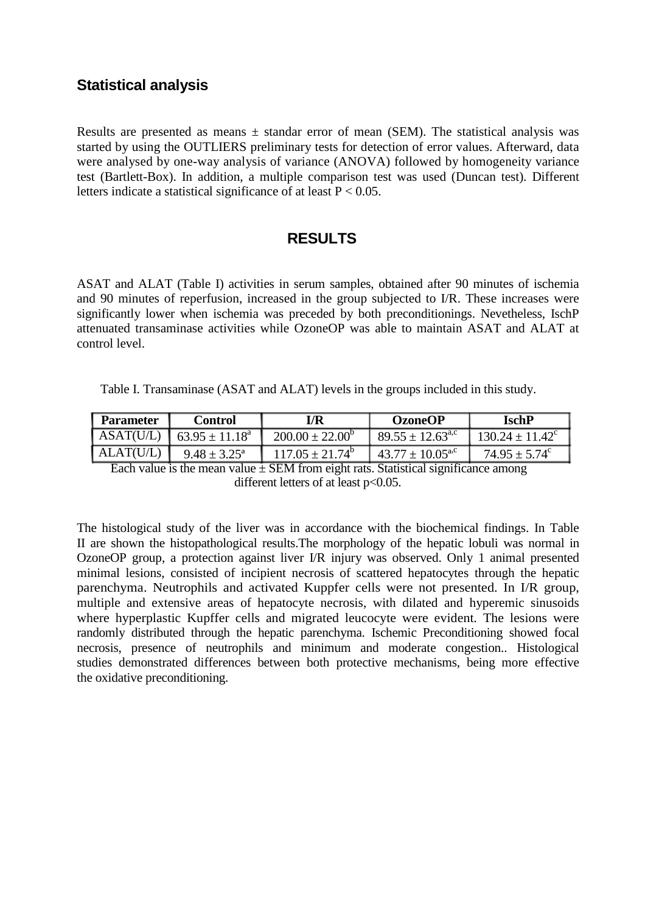## **Statistical analysis**

Results are presented as means  $\pm$  standar error of mean (SEM). The statistical analysis was started by using the OUTLIERS preliminary tests for detection of error values. Afterward, data were analysed by one-way analysis of variance (ANOVA) followed by homogeneity variance test (Bartlett-Box). In addition, a multiple comparison test was used (Duncan test). Different letters indicate a statistical significance of at least  $P < 0.05$ .

### **RESULTS**

ASAT and ALAT (Table I) activities in serum samples, obtained after 90 minutes of ischemia and 90 minutes of reperfusion, increased in the group subjected to I/R. These increases were significantly lower when ischemia was preceded by both preconditionings. Nevetheless, IschP attenuated transaminase activities while OzoneOP was able to maintain ASAT and ALAT at control level.

Table I. Transaminase (ASAT and ALAT) levels in the groups included in this study.

| <b>Parameter</b> | <b>Control</b>          | VR                         | <b>OzoneOP</b>                 | <b>IschP</b>             |
|------------------|-------------------------|----------------------------|--------------------------------|--------------------------|
| ASAT(U/L)        | $63.95 \pm 11.18^a$     | $200.00 \pm 22.00^{\circ}$ | $89.55 \pm 12.63^{\text{a,c}}$ | $130.24 \pm 11.42^c$     |
| ALAT(U/L)        | $9.48 \pm 3.25^{\circ}$ | $117.05 \pm 21.74^b$       | $43.77 \pm 10.05^{\text{a,c}}$ | $74.95 \pm 5.74^{\circ}$ |

Each value is the mean value  $\pm$  SEM from eight rats. Statistical significance among different letters of at least  $p<0.05$ .

The histological study of the liver was in accordance with the biochemical findings. In Table II are shown the histopathological results.The morphology of the hepatic lobuli was normal in OzoneOP group, a protection against liver I/R injury was observed. Only 1 animal presented minimal lesions, consisted of incipient necrosis of scattered hepatocytes through the hepatic parenchyma. Neutrophils and activated Kuppfer cells were not presented. In I/R group, multiple and extensive areas of hepatocyte necrosis, with dilated and hyperemic sinusoids where hyperplastic Kupffer cells and migrated leucocyte were evident. The lesions were randomly distributed through the hepatic parenchyma. Ischemic Preconditioning showed focal necrosis, presence of neutrophils and minimum and moderate congestion.. Histological studies demonstrated differences between both protective mechanisms, being more effective the oxidative preconditioning.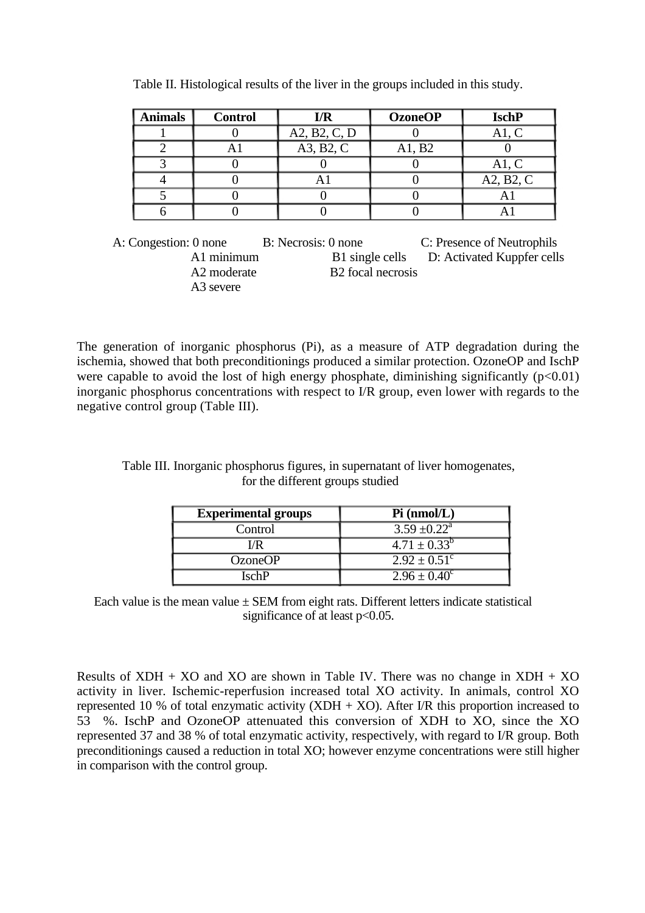| <b>Animals</b> | <b>Control</b> | I/R          | <b>OzoneOP</b> | <b>IschP</b> |
|----------------|----------------|--------------|----------------|--------------|
|                |                | A2, B2, C, D |                | A1, C        |
|                |                | A3, B2, C    | A1, B2         |              |
|                |                |              |                | A1, C        |
|                |                |              |                | A2, B2, C    |
|                |                |              |                | A            |
|                |                |              |                |              |

Table II. Histological results of the liver in the groups included in this study.

A: Congestion: 0 none B: Necrosis: 0 none C: Presence of Neutrophils A1 minimum B1 single cells D: Activated Kuppfer cells A2 moderate B2 focal necrosis A3 severe

The generation of inorganic phosphorus (Pi), as a measure of ATP degradation during the ischemia, showed that both preconditionings produced a similar protection. OzoneOP and IschP were capable to avoid the lost of high energy phosphate, diminishing significantly  $(p<0.01)$ inorganic phosphorus concentrations with respect to I/R group, even lower with regards to the negative control group (Table III).

| Table III. Inorganic phosphorus figures, in supernatant of liver homogenates, |                                  |  |
|-------------------------------------------------------------------------------|----------------------------------|--|
|                                                                               | for the different groups studied |  |

| <b>Experimental groups</b> | $Pi \, (nmol/L)$                   |
|----------------------------|------------------------------------|
| Control                    | $3.59 \pm 0.22^{\text{a}}$         |
| I/R                        | $\overline{4.71 \pm 0.33^{\circ}}$ |
| <b>OzoneOP</b>             | $2.92 \pm 0.51^{\circ}$            |
| IschP                      | $2.96 \pm 0.40^{\circ}$            |

Each value is the mean value  $\pm$  SEM from eight rats. Different letters indicate statistical significance of at least p<0.05.

Results of  $XDH + XO$  and  $XO$  are shown in Table IV. There was no change in  $XDH + XO$ activity in liver. Ischemic-reperfusion increased total XO activity. In animals, control XO represented 10 % of total enzymatic activity  $(XDH + XO)$ . After I/R this proportion increased to 53 %. IschP and OzoneOP attenuated this conversion of XDH to XO, since the XO represented 37 and 38 % of total enzymatic activity, respectively, with regard to I/R group. Both preconditionings caused a reduction in total XO; however enzyme concentrations were still higher in comparison with the control group.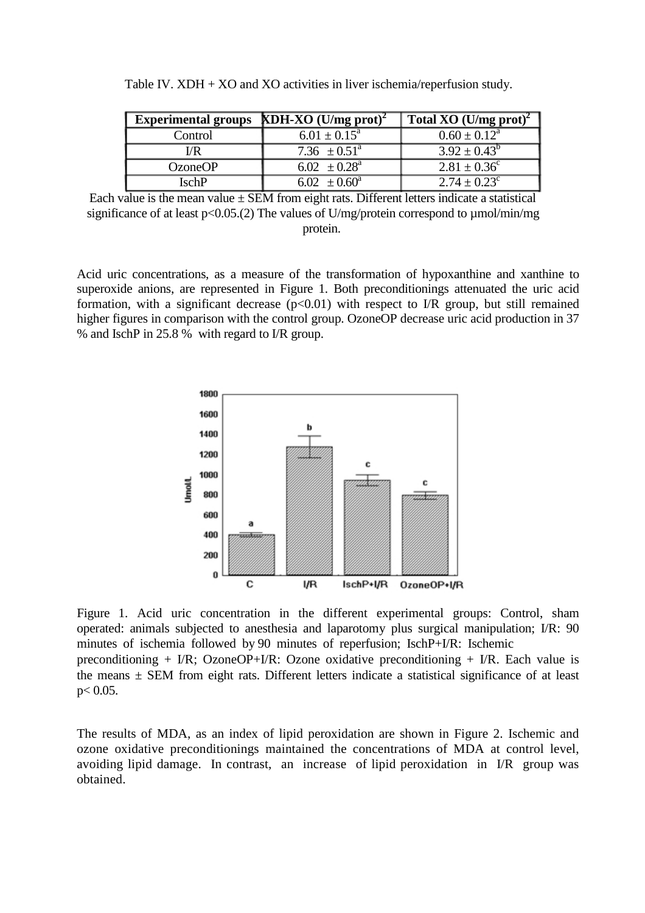| Experimental groups KDH-XO $(U/mg$ prot) <sup>2</sup> |                            | Total XO (U/mg prot) <sup>2</sup> |
|-------------------------------------------------------|----------------------------|-----------------------------------|
| Control                                               | $6.01 \pm 0.15^{\text{a}}$ | $0.60 \pm 0.12^{\text{a}}$        |
| I/R                                                   | 7.36 $\pm 0.51^{\circ}$    | $3.92 \pm 0.43^b$                 |
| <b>OzoneOP</b>                                        | 6.02 $\pm 0.28^{\circ}$    | $2.81 \pm 0.36^{\circ}$           |
| IschP                                                 | 6.02 $\pm 0.60^{\text{a}}$ | $2.74 \pm 0.23^c$                 |

Table IV. XDH + XO and XO activities in liver ischemia/reperfusion study.

Each value is the mean value  $\pm$  SEM from eight rats. Different letters indicate a statistical significance of at least p<0.05.(2) The values of U/mg/protein correspond to  $\mu$ mol/min/mg protein.

Acid uric concentrations, as a measure of the transformation of hypoxanthine and xanthine to superoxide anions, are represented in Figure 1. Both preconditionings attenuated the uric acid formation, with a significant decrease  $(p<0.01)$  with respect to I/R group, but still remained higher figures in comparison with the control group. OzoneOP decrease uric acid production in 37 % and IschP in 25.8 % with regard to I/R group.



Figure 1. Acid uric concentration in the different experimental groups: Control, sham operated: animals subjected to anesthesia and laparotomy plus surgical manipulation; I/R: 90 minutes of ischemia followed by 90 minutes of reperfusion; IschP+I/R: Ischemic

preconditioning + I/R; OzoneOP+I/R: Ozone oxidative preconditioning + I/R. Each value is the means  $\pm$  SEM from eight rats. Different letters indicate a statistical significance of at least  $p < 0.05$ .

The results of MDA, as an index of lipid peroxidation are shown in Figure 2. Ischemic and ozone oxidative preconditionings maintained the concentrations of MDA at control level, avoiding lipid damage. In contrast, an increase of lipid peroxidation in I/R group was obtained.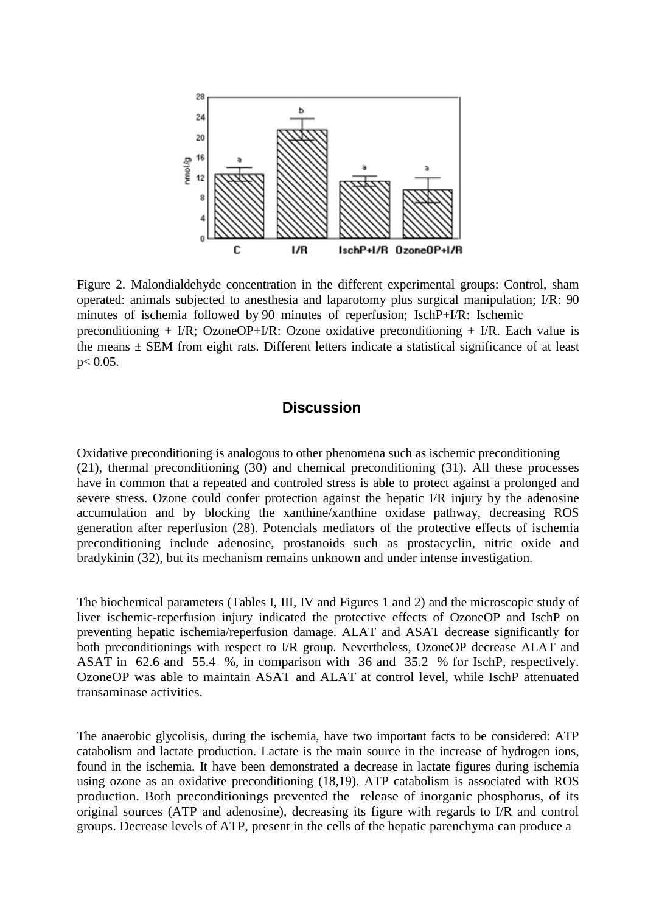

Figure 2. Malondialdehyde concentration in the different experimental groups: Control, sham operated: animals subjected to anesthesia and laparotomy plus surgical manipulation; I/R: 90 minutes of ischemia followed by 90 minutes of reperfusion; IschP+I/R: Ischemic preconditioning + I/R; OzoneOP+I/R: Ozone oxidative preconditioning + I/R. Each value is the means  $\pm$  SEM from eight rats. Different letters indicate a statistical significance of at least p< 0.05.

#### **Discussion**

Oxidative preconditioning is analogous to other phenomena such as ischemic preconditioning (21), thermal preconditioning (30) and chemical preconditioning (31). All these processes have in common that a repeated and controled stress is able to protect against a prolonged and severe stress. Ozone could confer protection against the hepatic I/R injury by the adenosine accumulation and by blocking the xanthine/xanthine oxidase pathway, decreasing ROS generation after reperfusion (28). Potencials mediators of the protective effects of ischemia preconditioning include adenosine, prostanoids such as prostacyclin, nitric oxide and bradykinin (32), but its mechanism remains unknown and under intense investigation.

The biochemical parameters (Tables I, III, IV and Figures 1 and 2) and the microscopic study of liver ischemic-reperfusion injury indicated the protective effects of OzoneOP and IschP on preventing hepatic ischemia/reperfusion damage. ALAT and ASAT decrease significantly for both preconditionings with respect to I/R group. Nevertheless, OzoneOP decrease ALAT and ASAT in 62.6 and 55.4 %, in comparison with 36 and 35.2 % for IschP, respectively. OzoneOP was able to maintain ASAT and ALAT at control level, while IschP attenuated transaminase activities.

The anaerobic glycolisis, during the ischemia, have two important facts to be considered: ATP catabolism and lactate production. Lactate is the main source in the increase of hydrogen ions, found in the ischemia. It have been demonstrated a decrease in lactate figures during ischemia using ozone as an oxidative preconditioning (18,19). ATP catabolism is associated with ROS production. Both preconditionings prevented the release of inorganic phosphorus, of its original sources (ATP and adenosine), decreasing its figure with regards to I/R and control groups. Decrease levels of ATP, present in the cells of the hepatic parenchyma can produce a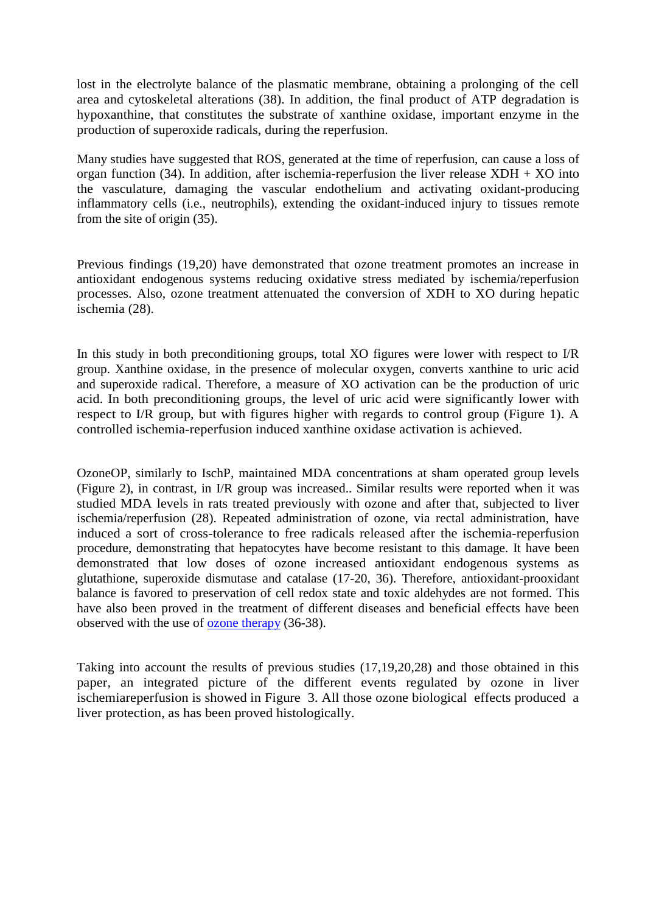lost in the electrolyte balance of the plasmatic membrane, obtaining a prolonging of the cell area and cytoskeletal alterations (38). In addition, the final product of ATP degradation is hypoxanthine, that constitutes the substrate of xanthine oxidase, important enzyme in the production of superoxide radicals, during the reperfusion.

Many studies have suggested that ROS, generated at the time of reperfusion, can cause a loss of organ function (34). In addition, after ischemia-reperfusion the liver release  $XDH + XO$  into the vasculature, damaging the vascular endothelium and activating oxidant-producing inflammatory cells (i.e., neutrophils), extending the oxidant-induced injury to tissues remote from the site of origin (35).

Previous findings (19,20) have demonstrated that ozone treatment promotes an increase in antioxidant endogenous systems reducing oxidative stress mediated by ischemia/reperfusion processes. Also, ozone treatment attenuated the conversion of XDH to XO during hepatic ischemia (28).

In this study in both preconditioning groups, total XO figures were lower with respect to I/R group. Xanthine oxidase, in the presence of molecular oxygen, converts xanthine to uric acid and superoxide radical. Therefore, a measure of XO activation can be the production of uric acid. In both preconditioning groups, the level of uric acid were significantly lower with respect to I/R group, but with figures higher with regards to control group (Figure 1). A controlled ischemia-reperfusion induced xanthine oxidase activation is achieved.

OzoneOP, similarly to IschP, maintained MDA concentrations at sham operated group levels (Figure 2), in contrast, in I/R group was increased.. Similar results were reported when it was studied MDA levels in rats treated previously with ozone and after that, subjected to liver ischemia/reperfusion (28). Repeated administration of ozone, via rectal administration, have induced a sort of cross-tolerance to free radicals released after the ischemia-reperfusion procedure, demonstrating that hepatocytes have become resistant to this damage. It have been demonstrated that low doses of ozone increased antioxidant endogenous systems as glutathione, superoxide dismutase and catalase (17-20, 36). Therefore, antioxidant-prooxidant balance is favored to preservation of cell redox state and toxic aldehydes are not formed. This have also been proved in the treatment of different diseases and beneficial effects have been observed with the use of [ozone therapy](http://www.ozonemachine.org/) (36-38).

Taking into account the results of previous studies (17,19,20,28) and those obtained in this paper, an integrated picture of the different events regulated by ozone in liver ischemiareperfusion is showed in Figure 3. All those ozone biological effects produced a liver protection, as has been proved histologically.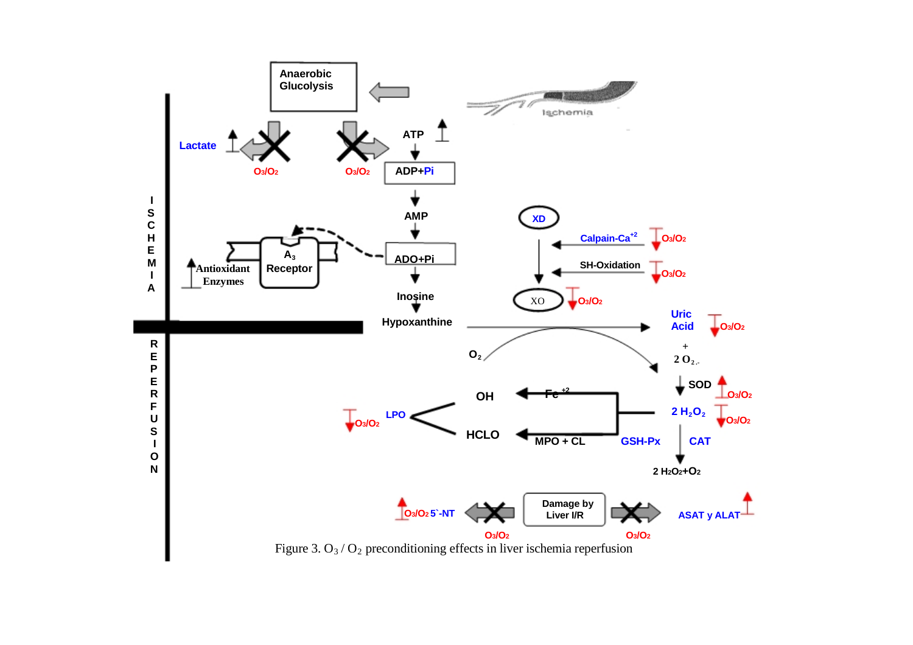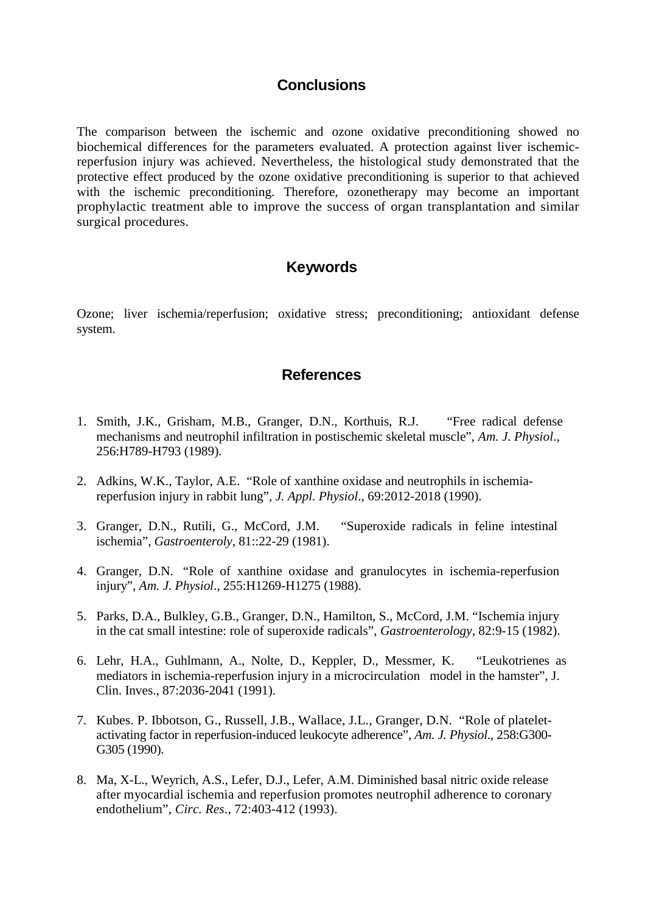#### **Conclusions**

The comparison between the ischemic and ozone oxidative preconditioning showed no biochemical differences for the parameters evaluated. A protection against liver ischemicreperfusion injury was achieved. Nevertheless, the histological study demonstrated that the protective effect produced by the ozone oxidative preconditioning is superior to that achieved with the ischemic preconditioning. Therefore, ozonetherapy may become an important prophylactic treatment able to improve the success of organ transplantation and similar surgical procedures.

#### **Keywords**

Ozone; liver ischemia/reperfusion; oxidative stress; preconditioning; antioxidant defense system.

#### **References**

- 1. Smith, J.K., Grisham, M.B., Granger, D.N., Korthuis, R.J. "Free radical defense mechanisms and neutrophil infiltration in postischemic skeletal muscle", *Am. J. Physiol*., 256:H789-H793 (1989).
- 2. Adkins, W.K., Taylor, A.E. "Role of xanthine oxidase and neutrophils in ischemiareperfusion injury in rabbit lung", *J. Appl. Physiol*., 69:2012-2018 (1990).
- 3. Granger, D.N., Rutili, G., McCord, J.M. "Superoxide radicals in feline intestinal ischemia", *Gastroenteroly*, 81::22-29 (1981).
- 4. Granger, D.N. "Role of xanthine oxidase and granulocytes in ischemia-reperfusion injury", *Am. J. Physiol*., 255:H1269-H1275 (1988).
- 5. Parks, D.A., Bulkley, G.B., Granger, D.N., Hamilton, S., McCord, J.M. "Ischemia injury in the cat small intestine: role of superoxide radicals", *Gastroenterology*, 82:9-15 (1982).
- 6. Lehr, H.A., Guhlmann, A., Nolte, D., Keppler, D., Messmer, K. "Leukotrienes as mediators in ischemia-reperfusion injury in a microcirculation model in the hamster", J. Clin. Inves., 87:2036-2041 (1991).
- 7. Kubes. P. Ibbotson, G., Russell, J.B., Wallace, J.L., Granger, D.N. "Role of plateletactivating factor in reperfusion-induced leukocyte adherence", *Am. J. Physiol*., 258:G300- G305 (1990).
- 8. Ma, X-L., Weyrich, A.S., Lefer, D.J., Lefer, A.M. Diminished basal nitric oxide release after myocardial ischemia and reperfusion promotes neutrophil adherence to coronary endothelium", *Circ. Res*., 72:403-412 (1993).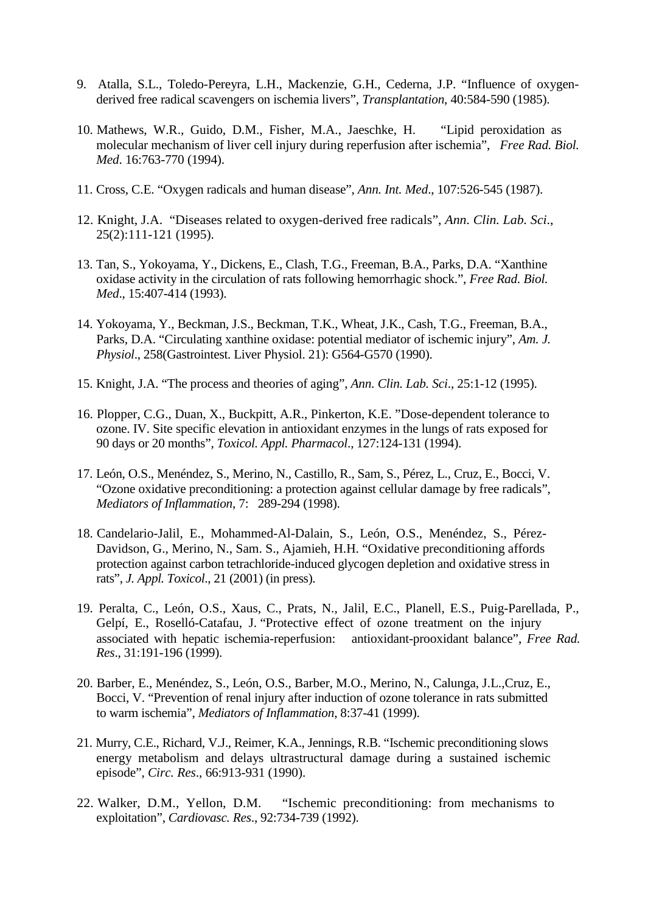- 9. Atalla, S.L., Toledo-Pereyra, L.H., Mackenzie, G.H., Cederna, J.P. "Influence of oxygenderived free radical scavengers on ischemia livers", *Transplantation*, 40:584-590 (1985).
- 10. Mathews, W.R., Guido, D.M., Fisher, M.A., Jaeschke, H. "Lipid peroxidation as molecular mechanism of liver cell injury during reperfusion after ischemia", *Free Rad. Biol. Med*. 16:763-770 (1994).
- 11. Cross, C.E. "Oxygen radicals and human disease", *Ann. Int. Med*., 107:526-545 (1987).
- 12. Knight, J.A. "Diseases related to oxygen-derived free radicals", *Ann. Clin. Lab. Sci*., 25(2):111-121 (1995).
- 13. Tan, S., Yokoyama, Y., Dickens, E., Clash, T.G., Freeman, B.A., Parks, D.A. "Xanthine oxidase activity in the circulation of rats following hemorrhagic shock.", *Free Rad. Biol. Med*., 15:407-414 (1993).
- 14. Yokoyama, Y., Beckman, J.S., Beckman, T.K., Wheat, J.K., Cash, T.G., Freeman, B.A., Parks, D.A. "Circulating xanthine oxidase: potential mediator of ischemic injury", *Am. J. Physiol*., 258(Gastrointest. Liver Physiol. 21): G564-G570 (1990).
- 15. Knight, J.A. "The process and theories of aging", *Ann. Clin. Lab. Sci*., 25:1-12 (1995).
- 16. Plopper, C.G., Duan, X., Buckpitt, A.R., Pinkerton, K.E. "Dose-dependent tolerance to ozone. IV. Site specific elevation in antioxidant enzymes in the lungs of rats exposed for 90 days or 20 months", *Toxicol. Appl. Pharmacol*., 127:124-131 (1994).
- 17. León, O.S., Menéndez, S., Merino, N., Castillo, R., Sam, S., Pérez, L., Cruz, E., Bocci, V. "Ozone oxidative preconditioning: a protection against cellular damage by free radicals", *Mediators of Inflammation*, 7: 289-294 (1998).
- 18. Candelario-Jalil, E., Mohammed-Al-Dalain, S., León, O.S., Menéndez, S., Pérez-Davidson, G., Merino, N., Sam. S., Ajamieh, H.H. "Oxidative preconditioning affords protection against carbon tetrachloride-induced glycogen depletion and oxidative stress in rats", *J. Appl. Toxicol*., 21 (2001) (in press).
- 19. Peralta, C., León, O.S., Xaus, C., Prats, N., Jalil, E.C., Planell, E.S., Puig-Parellada, P., Gelpí, E., Roselló-Catafau, J. "Protective effect of ozone treatment on the injury associated with hepatic ischemia-reperfusion: antioxidant-prooxidant balance", *Free Rad. Res*., 31:191-196 (1999).
- 20. Barber, E., Menéndez, S., León, O.S., Barber, M.O., Merino, N., Calunga, J.L.,Cruz, E., Bocci, V. "Prevention of renal injury after induction of ozone tolerance in rats submitted to warm ischemia", *Mediators of Inflammation*, 8:37-41 (1999).
- 21. Murry, C.E., Richard, V.J., Reimer, K.A., Jennings, R.B. "Ischemic preconditioning slows energy metabolism and delays ultrastructural damage during a sustained ischemic episode", *Circ. Res*., 66:913-931 (1990).
- 22. Walker, D.M., Yellon, D.M. "Ischemic preconditioning: from mechanisms to exploitation", *Cardiovasc. Res*., 92:734-739 (1992).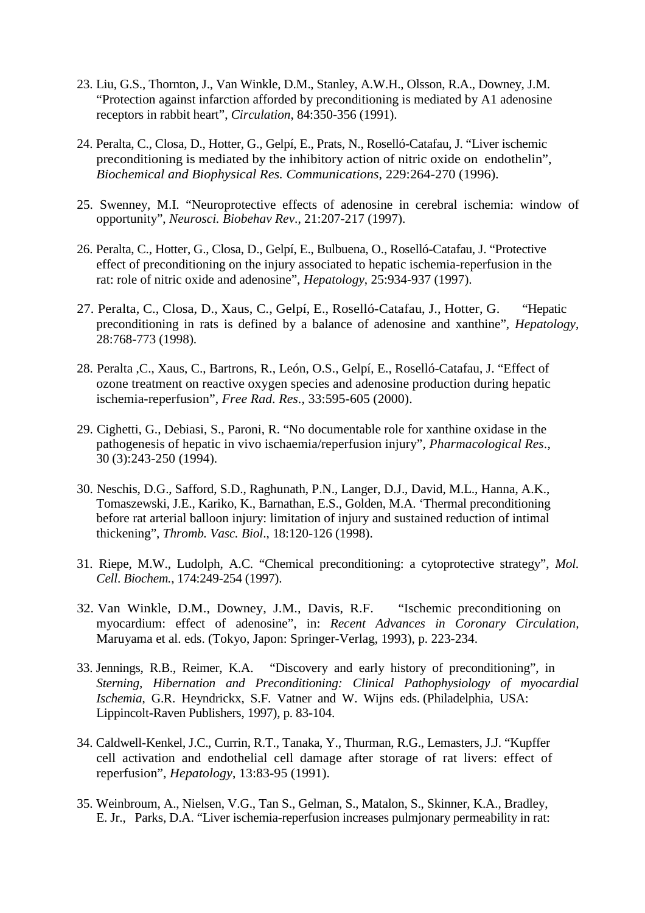- 23. Liu, G.S., Thornton, J., Van Winkle, D.M., Stanley, A.W.H., Olsson, R.A., Downey, J.M. "Protection against infarction afforded by preconditioning is mediated by A1 adenosine receptors in rabbit heart", *Circulation*, 84:350-356 (1991).
- 24. Peralta, C., Closa, D., Hotter, G., Gelpí, E., Prats, N., Roselló-Catafau, J. "Liver ischemic preconditioning is mediated by the inhibitory action of nitric oxide on endothelin", *Biochemical and Biophysical Res. Communications*, 229:264-270 (1996).
- 25. Swenney, M.I. "Neuroprotective effects of adenosine in cerebral ischemia: window of opportunity", *Neurosci. Biobehav Rev*., 21:207-217 (1997).
- 26. Peralta, C., Hotter, G., Closa, D., Gelpí, E., Bulbuena, O., Roselló-Catafau, J. "Protective effect of preconditioning on the injury associated to hepatic ischemia-reperfusion in the rat: role of nitric oxide and adenosine", *Hepatology*, 25:934-937 (1997).
- 27. Peralta, C., Closa, D., Xaus, C., Gelpí, E., Roselló-Catafau, J., Hotter, G. "Hepatic preconditioning in rats is defined by a balance of adenosine and xanthine", *Hepatology*, 28:768-773 (1998).
- 28. Peralta ,C., Xaus, C., Bartrons, R., León, O.S., Gelpí, E., Roselló-Catafau, J. "Effect of ozone treatment on reactive oxygen species and adenosine production during hepatic ischemia-reperfusion", *Free Rad*. *Res*., 33:595-605 (2000).
- 29. Cighetti, G., Debiasi, S., Paroni, R. "No documentable role for xanthine oxidase in the pathogenesis of hepatic in vivo ischaemia/reperfusion injury", *Pharmacological Res*., 30 (3):243-250 (1994).
- 30. Neschis, D.G., Safford, S.D., Raghunath, P.N., Langer, D.J., David, M.L., Hanna, A.K., Tomaszewski, J.E., Kariko, K., Barnathan, E.S., Golden, M.A. 'Thermal preconditioning before rat arterial balloon injury: limitation of injury and sustained reduction of intimal thickening", *Thromb. Vasc. Biol*., 18:120-126 (1998).
- 31. Riepe, M.W., Ludolph, A.C. "Chemical preconditioning: a cytoprotective strategy", *Mol. Cell*. *Biochem.*, 174:249-254 (1997).
- 32. Van Winkle, D.M., Downey, J.M., Davis, R.F. "Ischemic preconditioning on myocardium: effect of adenosine", in: *Recent Advances in Coronary Circulation,*  Maruyama et al. eds. (Tokyo, Japon: Springer-Verlag, 1993), p. 223-234.
- 33. Jennings, R.B., Reimer, K.A. "Discovery and early history of preconditioning", in *Sterning, Hibernation and Preconditioning: Clinical Pathophysiology of myocardial Ischemia*, G.R. Heyndrickx, S.F. Vatner and W. Wijns eds. (Philadelphia, USA: Lippincolt-Raven Publishers, 1997), p. 83-104.
- 34. Caldwell-Kenkel, J.C., Currin, R.T., Tanaka, Y., Thurman, R.G., Lemasters, J.J. "Kupffer cell activation and endothelial cell damage after storage of rat livers: effect of reperfusion", *Hepatology*, 13:83-95 (1991).
- 35. Weinbroum, A., Nielsen, V.G., Tan S., Gelman, S., Matalon, S., Skinner, K.A., Bradley, E. Jr., Parks, D.A. "Liver ischemia-reperfusion increases pulmjonary permeability in rat: